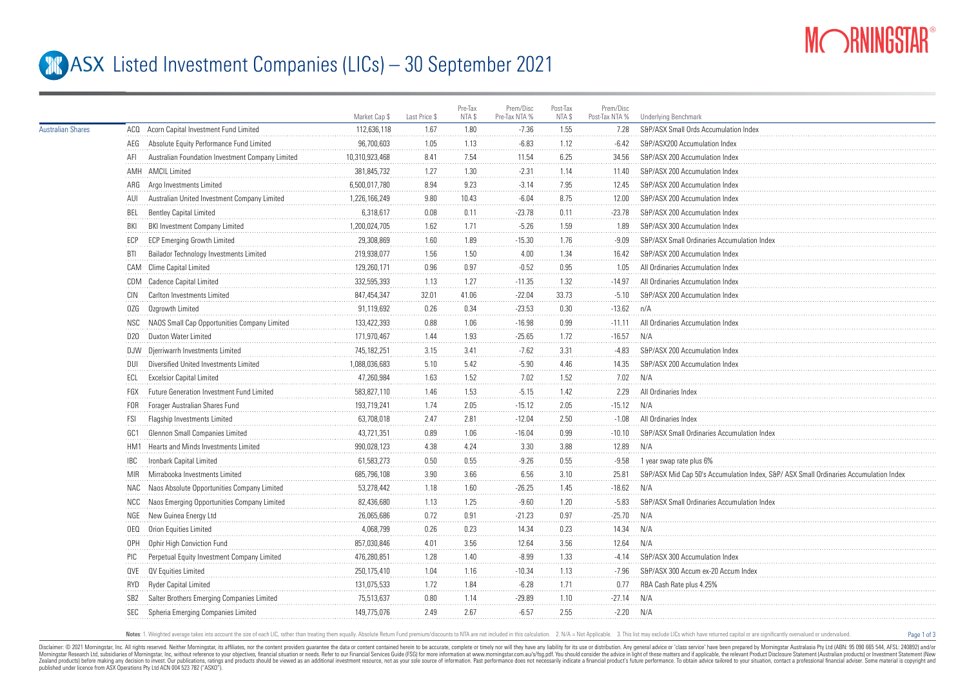

Page 1 of 3

## **ASX** Listed Investment Companies (LICs) – 30 September 2021

|                          |                 |                                                  | Market Cap \$  | Last Price \$ | Pre-Tax<br>NTA \$ | Prem/Disc<br>Pre-Tax NTA % | Post-Tax<br>NTA \$ | Prem/Disc<br>Post-Tax NTA % | <b>Underlying Benchmark</b>                                                          |
|--------------------------|-----------------|--------------------------------------------------|----------------|---------------|-------------------|----------------------------|--------------------|-----------------------------|--------------------------------------------------------------------------------------|
| <b>Australian Shares</b> |                 | ACQ Acorn Capital Investment Fund Limited        | 112,636,118    | 1.67          | 1.80              | $-7.36$                    | 1.55               | 7.28                        | S&P/ASX Small Ords Accumulation Index                                                |
|                          |                 | AEG Absolute Equity Performance Fund Limited     | 96,700,603     | 1.05          | 1.13              | $-6.83$                    | 1.12               | $-6.42$                     | S&P/ASX200 Accumulation Index                                                        |
|                          | AFI             | Australian Foundation Investment Company Limited | 10,310,923,468 | 8.41          | 7.54              | 11.54                      | 6.25               | 34.56                       | S&P/ASX 200 Accumulation Index                                                       |
|                          |                 | AMH AMCIL Limited                                | 381,845,732    | 1.27          | 1.30              | $-2.31$                    | 1.14               | 11.40                       | S&P/ASX 200 Accumulation Index                                                       |
|                          |                 | ARG Argo Investments Limited                     | 6,500,017,780  | 8.94          | 9.23              | $-3.14$                    | 7.95               | 12.45                       | S&P/ASX 200 Accumulation Index                                                       |
|                          | AUI             | Australian United Investment Company Limited     | 1,226,166,249  | 9.80          | 10.43             | $-6.04$                    | 8.75               | 12.00                       | S&P/ASX 200 Accumulation Index                                                       |
|                          | BEL             | <b>Bentley Capital Limited</b>                   | 6,318,617      | 0.08          | 0.11              | $-23.78$                   | 0.11               | $-23.78$                    | S&P/ASX 200 Accumulation Index                                                       |
|                          | BKI             | BKI Investment Company Limited                   | 1,200,024,705  | 1.62          | 1.71              | $-5.26$                    | 1.59               | 1.89                        | S&P/ASX 300 Accumulation Index                                                       |
|                          | ECP             | <b>ECP Emerging Growth Limited</b>               | 29.308.869     | 1.60          | 1.89              | $-15.30$                   | 1.76               | $-9.09$                     | S&P/ASX Small Ordinaries Accumulation Index                                          |
|                          | BTI             | Bailador Technology Investments Limited          | 219,938,077    | 1.56          | 1.50              | 4.00                       | 1.34               | 16.42                       | S&P/ASX 200 Accumulation Index                                                       |
|                          |                 | CAM Clime Capital Limited                        | 129,260,171    | 0.96          | 0.97              | $-0.52$                    | 0.95               | 1.05                        | All Ordinaries Accumulation Index                                                    |
|                          |                 | CDM Cadence Capital Limited                      | 332.595.393    | 1.13          | 1.27              | $-11.35$                   | 1.32               | $-14.97$                    | All Ordinaries Accumulation Index                                                    |
|                          | CIN             | Carlton Investments Limited                      | 847,454,347    | 32.01         | 41.06             | $-22.04$                   | 33.73              | $-5.10$                     | S&P/ASX 200 Accumulation Index                                                       |
|                          | 0ZG             | Ozgrowth Limited                                 | 91,119,692     | 0.26          | 0.34              | $-23.53$                   | 0.30               | $-13.62$                    | n/A                                                                                  |
|                          | NSC             | NAOS Small Cap Opportunities Company Limited     | 133,422,393    | 0.88          | 1.06              | $-16.98$                   | 0.99               | $-11.11$                    | All Ordinaries Accumulation Index                                                    |
|                          | D20             | Duxton Water Limited                             | 171,970,467    | 1.44          | 1.93              | $-25.65$                   | 1.72               | $-16.57$                    | N/A                                                                                  |
|                          |                 | DJW Djerriwarrh Investments Limited              | 745, 182, 251  | 3.15          | 3.41              | $-7.62$                    | 3.31               | $-4.83$                     | S&P/ASX 200 Accumulation Index                                                       |
|                          | DUI             | Diversified United Investments Limited           | 1,088,036,683  | 5.10          | 5.42              | $-5.90$                    | 4.46               | 14.35                       | S&P/ASX 200 Accumulation Index                                                       |
|                          | ECL             | <b>Excelsior Capital Limited</b>                 | 47,260,984     | 1.63          | 1.52              | 7.02                       | 1.52               | 7.02                        | N/A                                                                                  |
|                          | FGX             | Future Generation Investment Fund Limited        | 583,827,110    | 1.46          | 1.53              | $-5.15$                    | 1.42               | 2.29                        | All Ordinaries Index                                                                 |
|                          | FOR             | Forager Australian Shares Fund                   | 193,719,241    | 1.74          | 2.05              | $-15.12$                   | 2.05               | $-15.12$                    | N/A                                                                                  |
|                          | FSI             | Flagship Investments Limited                     | 63,708,018     | 2.47          | 2.81              | $-12.04$                   | 2.50               | $-1.08$                     | All Ordinaries Index                                                                 |
|                          | GC1             | Glennon Small Companies Limited                  | 43,721,351     | 0.89          | 1.06              | $-16.04$                   | 0.99               | $-10.10$                    | S&P/ASX Small Ordinaries Accumulation Inde                                           |
|                          |                 | HM1 Hearts and Minds Investments Limited         | 990,028,123    | 4.38          | 4.24              | 3.30                       | 3.88               | 12.89                       | N/A                                                                                  |
|                          | <b>IBC</b>      | Ironbark Capital Limited                         | 61,583,273     | 0.50          | 0.55              | $-9.26$                    | 0.55               | $-9.58$                     | 1 year swap rate plus 6%                                                             |
|                          | <b>MIR</b>      | Mirrabooka Investments Limited                   | 685,796,108    | 3.90          | 3.66              | 6.56                       | 3.10               | 25.81                       | S&P/ASX Mid Cap 50's Accumulation Index, S&P/ASX Small Ordinaries Accumulation Index |
|                          | NAC             | Naos Absolute Opportunities Company Limited      | 53,278,442     | 1.18          | 1.60              | $-26.25$                   | 1.45               | $-18.62$                    | N/A                                                                                  |
|                          | NCC             | Naos Emerging Opportunities Company Limited      | 82,436,680     | 1.13          | 1.25              | $-9.60$                    | 1.20               | $-5.83$                     | S&P/ASX Small Ordinaries Accumulation Index                                          |
|                          |                 | NGE New Guinea Energy Ltd                        | 26,065,686     | 0.72          | 0.91              | $-21.23$                   | 0.97               | $-25.70$                    | N/A                                                                                  |
|                          | 0EQ             | Orion Equities Limited                           | 4,068,799      | 0.26          | 0.23              | 14.34                      | 0.23               | 14.34                       | N/A                                                                                  |
|                          | 0PH             | Ophir High Conviction Fund                       | 857.030.846    | 4.01          | 3.56              | 12.64                      | 3.56               | 12.64                       | N/A                                                                                  |
|                          | PIC             | Perpetual Equity Investment Company Limited      | 476,280,851    | 1.28          | 1.40              | $-8.99$                    | 1.33               | $-4.14$                     | S&P/ASX 300 Accumulation Index                                                       |
|                          |                 | QVE QV Equities Limited                          | 250,175,410    | 1.04          | 1.16              | $-10.34$                   | 1.13               | -7.96                       | S&P/ASX 300 Accum ex-20 Accum Index                                                  |
|                          | RYD             | Ryder Capital Limited                            | 131,075,533    | 1.72          | 1.84              | $-6.28$                    | 1.71               | 0.77                        | RBA Cash Rate plus 4.25%                                                             |
|                          | SB <sub>2</sub> | Salter Brothers Emerging Companies Limited       | 75,513,637     | 0.80          | 1.14              | $-29.89$                   | 1.10               | $-27.14$                    | N/A                                                                                  |
|                          | <b>SEC</b>      | Spheria Emerging Companies Limited               | 149,775,076    | 2.49          | 2.67              | $-6.57$                    | 2.55               | $-2.20$                     | N/A                                                                                  |
|                          |                 |                                                  |                |               |                   |                            |                    |                             |                                                                                      |

Notes: 1. Weighted average takes into account the size of each LIC, rather than treating them equally. Absolute Return Fund premium/discounts to NTA are not included in this calculation. 2. N/A = Not Applicable. 3. This li

Disclaimer: © 2021 Morninostar, Inc. All rights reseved. Neither Morninostar, its affiliates, nor the content providers quarantee the data or content consined herein to be accurate, complete or timely nor will they have an Morningstar Research Ltd, subsidiaries of Morningstar, Inc, without reference to your objectives, financial stuation or needs. Refer to our Financial Services Guide (FSG) for more information at www.morningstar.com.au/s/fs Zealand products) before making any decision to invest. Our publications, ratings and products should be viewed as an additional investment resource, not as your sole squire of information. Past performance does not necess published under licence from ASX Operations Pty Ltd ACN 004 523 782 ("ASXO").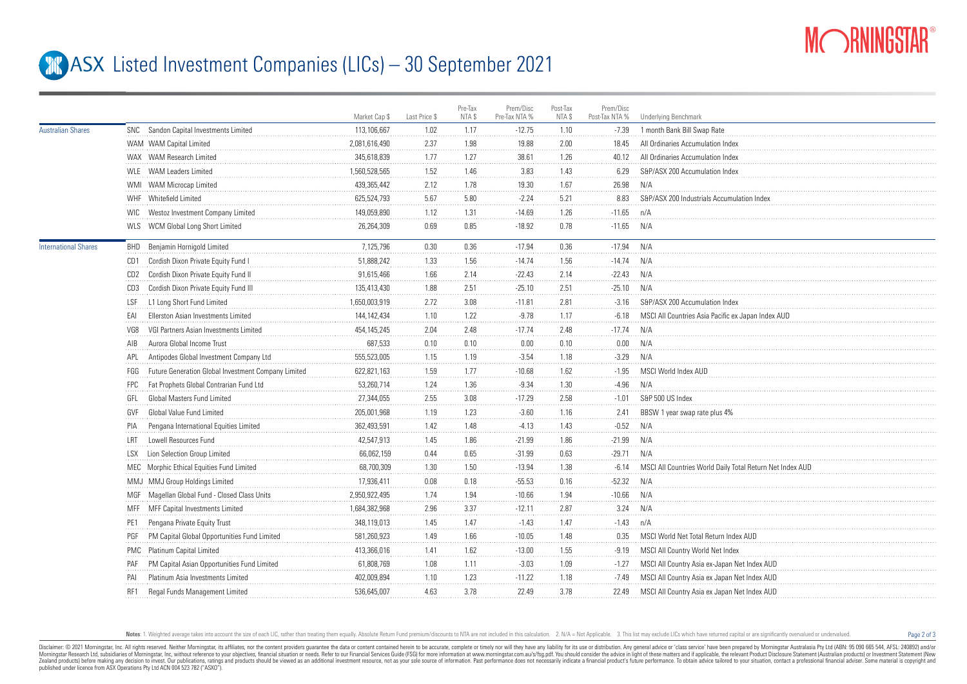

Page 2 of 3

## **ASX** Listed Investment Companies (LICs) – 30 September 2021

|                             |                                                            | Market Cap \$ | Last Price \$ | Pre-Tax<br>NTA \$ | Prem/Disc<br>Pre-Tax NTA % | Post-Tax<br>NTA \$ | Prem/Disc<br>Post-Tax NTA % | Underlying Benchmark                                     |
|-----------------------------|------------------------------------------------------------|---------------|---------------|-------------------|----------------------------|--------------------|-----------------------------|----------------------------------------------------------|
| <b>Australian Shares</b>    | SNC Sandon Capital Investments Limited                     | 113,106,667   | 1.02          | 1.17              | $-12.75$                   | 1.10               | $-7.39$                     | 1 month Bank Bill Swap Rate                              |
|                             | WAM WAM Capital Limited                                    | 2,081,616,490 | 2.37          | 1.98              | 19.88                      | 2.00               | 18.45                       | All Ordinaries Accumulation Index                        |
|                             | WAX WAM Research Limited                                   | 345.618.839   | 1.77          | 1.27              | 38.61                      | 1.26               | 40.12                       | All Ordinaries Accumulation Index                        |
|                             | WLE WAM Leaders Limited                                    | 1.560.528.565 | 1.52          | 1.46              | 3.83                       | 1.43               | 6.29                        | S&P/ASX 200 Accumulation Index                           |
|                             | WMI WAM Microcap Limited                                   | 439,365,442   | 2.12          | 1.78              | 19.30                      | 1.67               | 26.98                       | N/A                                                      |
|                             | WHF Whitefield Limited                                     | 625,524,793   | 5.67          | 5.80              | $-2.24$                    | 5.21               | 8.83                        | S&P/ASX 200 Industrials Accumulation Index               |
|                             | WIC Westoz Investment Company Limited                      | 149,059,890   | 1.12          | 1.31              | $-14.69$                   | 1.26               | $-11.65$                    | n/A                                                      |
|                             | WLS WCM Global Long Short Limited                          | 26,264,309    | 0.69          | 0.85              | $-18.92$                   | 0.78               | $-11.65$                    | N/A                                                      |
| <b>International Shares</b> | <b>BHD</b> Benjamin Hornigold Limited                      | 7,125,796     | 0.30          | 0.36              | $-17.94$                   | 0.36               | $-17.94$                    | N/A                                                      |
|                             | Cordish Dixon Private Equity Fund I<br>CD1                 | 51,888,242    | 1.33          | 1.56              | $-14.74$                   | 1.56               | $-14.74$ N/A                |                                                          |
|                             | Cordish Dixon Private Equity Fund II<br>CD <sub>2</sub>    | 91,615,466    | 1.66          | 2.14              | $-22.43$                   | 2.14               | $-22.43$                    | N/A                                                      |
|                             | Cordish Dixon Private Equity Fund III<br>CD3               | 135,413,430   | 1.88          | 2.51              | $-25.10$                   | 2.51               | $-25.10$                    | N/A                                                      |
|                             | L1 Long Short Fund Limited<br>LSF                          | 1,650,003,919 | 2.72          | 3.08              | $-11.81$                   | 2.81               | $-3.16$                     | S&P/ASX 200 Accumulation Index                           |
|                             | Ellerston Asian Investments Limited<br>EAI                 | 144, 142, 434 | 1.10          | 1.22              | $-9.78$                    | 1.17               | $-6.18$                     | MSCI All Countries Asia Pacific ex Japan Index AUD       |
|                             | VGI Partners Asian Investments Limited<br>VG8              | 454, 145, 245 | 2.04          | 2.48              | $-17.74$                   | 2.48               | $-17.74$                    | N/A                                                      |
|                             | Aurora Global Income Trust<br>AIB                          | 687,533       | 0.10          | 0.10              | 0.00                       | 0.10               | 0.00                        | N/A                                                      |
|                             | Antipodes Global Investment Company Ltd<br>APL             | 555,523,005   | 1.15          | 1.19              | $-3.54$                    | 1.18               | $-3.29$                     | N/A                                                      |
|                             | Future Generation Global Investment Company Limited<br>FGG | 622,821,163   | 1.59          | 1.77              | $-10.68$                   | 1.62               | $-1.95$                     | MSCI World Index AUD                                     |
|                             | Fat Prophets Global Contrarian Fund Ltd<br>FPC             | 53,260,714    | 1.24          | 1.36              | $-9.34$                    | 1.30               | $-4.96$                     | N/A                                                      |
|                             | <b>Global Masters Fund Limited</b><br>GFI                  | 27,344,055    | 2.55          | 3.08              | $-17.29$                   | 2.58               | $-1.01$                     | S&P 500 US Index                                         |
|                             | Global Value Fund Limited<br>GVF                           | 205,001,968   | 1.19          | 1.23              | $-3.60$                    | 1.16               | 2.41                        | BBSW 1 year swap rate plus 4%                            |
|                             | Pengana International Equities Limited                     | 362,493,591   | 1.42          | 1.48              | $-4.13$                    | 1.43               | $-0.52$                     | N/A                                                      |
|                             | Lowell Resources Fund<br>I RT                              | 42,547,913    | 1.45          | 1.86              | $-21.99$                   | 1.86               | $-21.99$                    | N/A                                                      |
|                             | Lion Selection Group Limited<br>I SX                       | 66,062,159    | 0.44          | 0.65              | $-31.99$                   | 0.63               | $-29.71$                    | N/A                                                      |
|                             | MEC Morphic Ethical Equities Fund Limited                  | 68,700,309    | 1.30          | 1.50              | $-13.94$                   | 1.38               | $-6.14$                     | MSCI All Countries World Daily Total Return Net Index AU |
|                             | MMJ MMJ Group Holdings Limited                             | 17,936,411    | 0.08          | 0.18              | $-55.53$                   | 0.16               | $-52.32$                    | N/A                                                      |
|                             | MGF Magellan Global Fund - Closed Class Units              | 2,950,922,495 | 1.74          | 1.94              | $-10.66$                   | 1.94               | $-10.66$                    | N/A                                                      |
|                             | MFF MFF Capital Investments Limited                        | 1,684,382,968 | 2.96          | 3.37              | $-12.11$                   | 2.87               | 3.24                        | N/A                                                      |
|                             | Pengana Private Equity Trust<br>PE1                        | 348,119,013   | 1.45          | 1.47              | $-1.43$                    | 1.47               | $-1.43$                     | n/A                                                      |
|                             | PM Capital Global Opportunities Fund Limited<br>PGF        | 581,260,923   | 1.49          | 1.66              | $-10.05$                   | 1.48               | 0.35                        | MSCI World Net Total Return Index AUD                    |
|                             | PMC Platinum Capital Limited                               | 413,366,016   | 1.41          | 1.62              | $-13.00$                   | 1.55               | -9.19                       | MSCI All Country World Net Index                         |
|                             | PM Capital Asian Opportunities Fund Limited<br>PAF         | 61,808,769    | 1.08          | 1.11              | $-3.03$                    | 1.09               | $-1.27$                     | MSCI All Country Asia ex-Japan Net Index AUD             |
|                             | Platinum Asia Investments Limited<br>PAI                   | 402,009,894   | 1.10          | 1.23              | $-11.22$                   | 1.18               | -7.49                       | MSCI All Country Asia ex Japan Net Index AUD             |
|                             | Regal Funds Management Limited<br>RF1                      | 536,645,007   | 4.63          | 3.78              | 22.49                      | 3.78               | 22.49                       | MSCI All Country Asia ex Japan Net Index AUD             |
|                             |                                                            |               |               |                   |                            |                    |                             |                                                          |

Notes: 1. Weighted average takes into account the size of each LIC, rather than treating them equally. Absolute Return Fund premium/discounts to NTA are not included in this calculation. 2. N/A = Not Applicable. 3. This li

Disclaimer: © 2021 Morninostar, Inc. All rights reseved, Neither Morninostar, its affiliates, nor the content providers quarantee the data or content consined herein to be accurate, complete or timely nor will they have an Morningstar Research Ltd, subsidiaries of Morningstar, Inc, without reference to your objectives, financial stuation or needs. Refer to our Financial Services Guide (FSG) for more information at www.morningstar.com.au/s/fs Zealand products) before making any decision to invest. Our publications, ratings and products should be viewed as an additional investment resource. not as your sole source of information. Past performance does not necess published under licence from ASX Operations Pty Ltd ACN 004 523 782 ("ASXO").